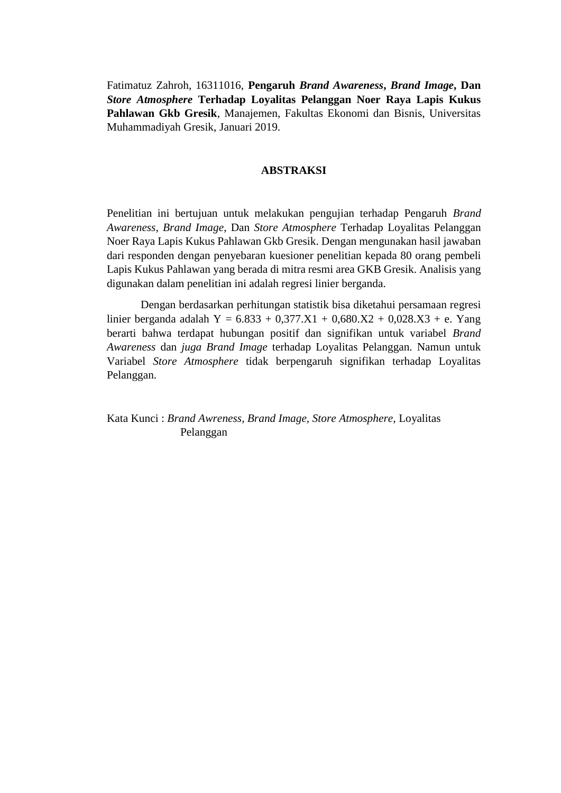Fatimatuz Zahroh, 16311016, **Pengaruh** *Brand Awareness***,** *Brand Image***, Dan**  *Store Atmosphere* **Terhadap Loyalitas Pelanggan Noer Raya Lapis Kukus Pahlawan Gkb Gresik**, Manajemen, Fakultas Ekonomi dan Bisnis, Universitas Muhammadiyah Gresik, Januari 2019.

## **ABSTRAKSI**

Penelitian ini bertujuan untuk melakukan pengujian terhadap Pengaruh *Brand Awareness*, *Brand Image*, Dan *Store Atmosphere* Terhadap Loyalitas Pelanggan Noer Raya Lapis Kukus Pahlawan Gkb Gresik. Dengan mengunakan hasil jawaban dari responden dengan penyebaran kuesioner penelitian kepada 80 orang pembeli Lapis Kukus Pahlawan yang berada di mitra resmi area GKB Gresik. Analisis yang digunakan dalam penelitian ini adalah regresi linier berganda.

Dengan berdasarkan perhitungan statistik bisa diketahui persamaan regresi linier berganda adalah Y =  $6.833 + 0.377.X1 + 0.680.X2 + 0.028.X3 + e$ . Yang berarti bahwa terdapat hubungan positif dan signifikan untuk variabel *Brand Awareness* dan *juga Brand Image* terhadap Loyalitas Pelanggan. Namun untuk Variabel *Store Atmosphere* tidak berpengaruh signifikan terhadap Loyalitas Pelanggan.

Kata Kunci : *Brand Awreness, Brand Image, Store Atmosphere,* Loyalitas Pelanggan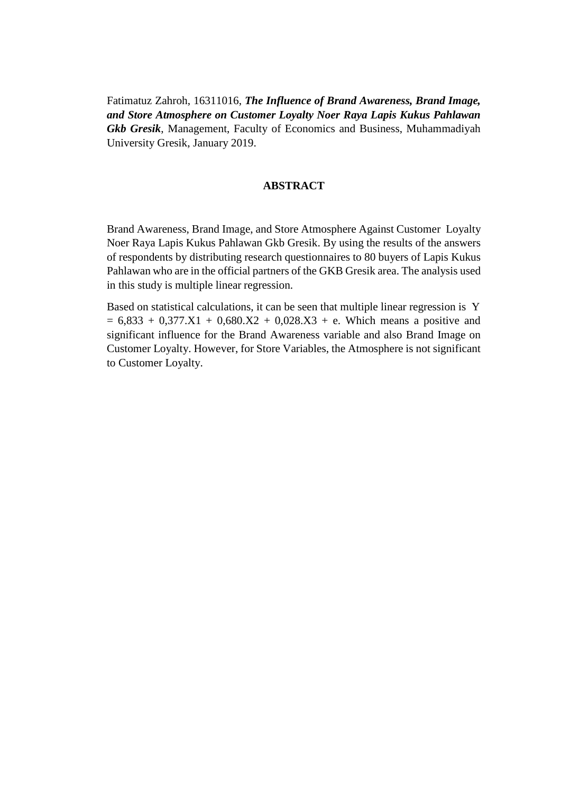Fatimatuz Zahroh, 16311016, *The Influence of Brand Awareness, Brand Image, and Store Atmosphere on Customer Loyalty Noer Raya Lapis Kukus Pahlawan Gkb Gresik*, Management, Faculty of Economics and Business, Muhammadiyah University Gresik, January 2019.

## **ABSTRACT**

Brand Awareness, Brand Image, and Store Atmosphere Against Customer Loyalty Noer Raya Lapis Kukus Pahlawan Gkb Gresik. By using the results of the answers of respondents by distributing research questionnaires to 80 buyers of Lapis Kukus Pahlawan who are in the official partners of the GKB Gresik area. The analysis used in this study is multiple linear regression.

Based on statistical calculations, it can be seen that multiple linear regression is Y  $= 6,833 + 0,377.X1 + 0,680.X2 + 0,028.X3 + e$ . Which means a positive and significant influence for the Brand Awareness variable and also Brand Image on Customer Loyalty. However, for Store Variables, the Atmosphere is not significant to Customer Loyalty.